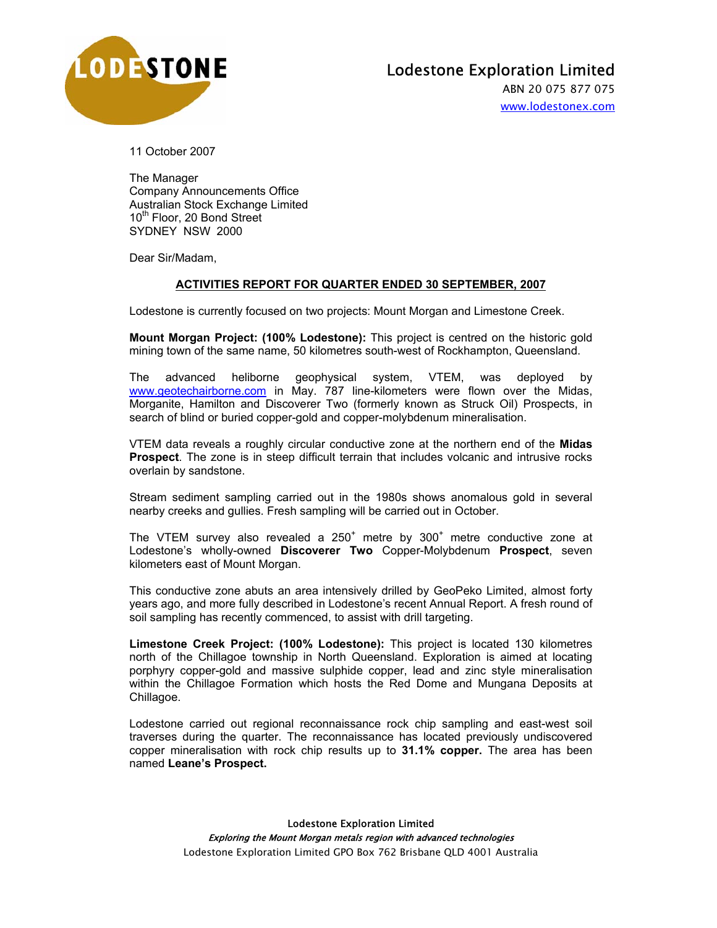

ABN 20 075 877 075 www.lodestonex.com

11 October 2007

The Manager Company Announcements Office Australian Stock Exchange Limited 10th Floor, 20 Bond Street SYDNEY NSW 2000

Dear Sir/Madam,

## **ACTIVITIES REPORT FOR QUARTER ENDED 30 SEPTEMBER, 2007**

Lodestone is currently focused on two projects: Mount Morgan and Limestone Creek.

**Mount Morgan Project: (100% Lodestone):** This project is centred on the historic gold mining town of the same name, 50 kilometres south-west of Rockhampton, Queensland.

The advanced heliborne geophysical system, VTEM, was deployed by www.geotechairborne.com in May. 787 line-kilometers were flown over the Midas, Morganite, Hamilton and Discoverer Two (formerly known as Struck Oil) Prospects, in search of blind or buried copper-gold and copper-molybdenum mineralisation.

VTEM data reveals a roughly circular conductive zone at the northern end of the **Midas Prospect**. The zone is in steep difficult terrain that includes volcanic and intrusive rocks overlain by sandstone.

Stream sediment sampling carried out in the 1980s shows anomalous gold in several nearby creeks and gullies. Fresh sampling will be carried out in October.

The VTEM survey also revealed a  $250<sup>+</sup>$  metre by  $300<sup>+</sup>$  metre conductive zone at Lodestone's wholly-owned **Discoverer Two** Copper-Molybdenum **Prospect**, seven kilometers east of Mount Morgan.

This conductive zone abuts an area intensively drilled by GeoPeko Limited, almost forty years ago, and more fully described in Lodestone's recent Annual Report. A fresh round of soil sampling has recently commenced, to assist with drill targeting.

**Limestone Creek Project: (100% Lodestone):** This project is located 130 kilometres north of the Chillagoe township in North Queensland. Exploration is aimed at locating porphyry copper-gold and massive sulphide copper, lead and zinc style mineralisation within the Chillagoe Formation which hosts the Red Dome and Mungana Deposits at Chillagoe.

Lodestone carried out regional reconnaissance rock chip sampling and east-west soil traverses during the quarter. The reconnaissance has located previously undiscovered copper mineralisation with rock chip results up to **31.1% copper.** The area has been named **Leane's Prospect.**